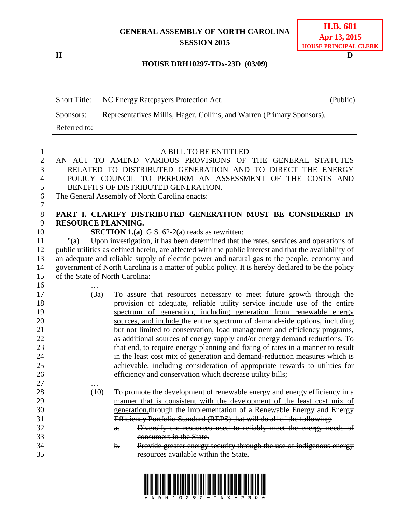## **GENERAL ASSEMBLY OF NORTH CAROLINA SESSION 2015**

**H D**

| <b>H.B. 681</b>              |  |  |
|------------------------------|--|--|
| Apr 13, 2015                 |  |  |
| <b>HOUSE PRINCIPAL CLERK</b> |  |  |

## **HOUSE DRH10297-TDx-23D (03/09)**

| <b>Short Title:</b> | NC Energy Ratepayers Protection Act.                                   | (Public) |
|---------------------|------------------------------------------------------------------------|----------|
| Sponsors:           | Representatives Millis, Hager, Collins, and Warren (Primary Sponsors). |          |
| Referred to:        |                                                                        |          |

| $\mathbf{1}$   |                                 | A BILL TO BE ENTITLED                                                                                  |
|----------------|---------------------------------|--------------------------------------------------------------------------------------------------------|
| $\overline{2}$ |                                 | AN ACT TO AMEND VARIOUS PROVISIONS OF THE GENERAL STATUTES                                             |
| 3              |                                 | RELATED TO DISTRIBUTED GENERATION AND TO DIRECT THE ENERGY                                             |
| $\overline{4}$ |                                 | POLICY COUNCIL TO PERFORM AN ASSESSMENT OF THE COSTS AND                                               |
| 5              |                                 | BENEFITS OF DISTRIBUTED GENERATION.                                                                    |
| 6              |                                 | The General Assembly of North Carolina enacts:                                                         |
| $\tau$         |                                 |                                                                                                        |
| $8\,$          |                                 | PART I. CLARIFY DISTRIBUTED GENERATION MUST BE CONSIDERED IN                                           |
| 9              | <b>RESOURCE PLANNING.</b>       |                                                                                                        |
| 10             |                                 | <b>SECTION 1.(a)</b> G.S. $62-2(a)$ reads as rewritten:                                                |
| 11             | "(a)                            | Upon investigation, it has been determined that the rates, services and operations of                  |
| 12             |                                 | public utilities as defined herein, are affected with the public interest and that the availability of |
| 13             |                                 | an adequate and reliable supply of electric power and natural gas to the people, economy and           |
| 14             |                                 | government of North Carolina is a matter of public policy. It is hereby declared to be the policy      |
| 15             | of the State of North Carolina: |                                                                                                        |
| 16             |                                 |                                                                                                        |
| 17             | (3a)                            | To assure that resources necessary to meet future growth through the                                   |
| 18             |                                 | provision of adequate, reliable utility service include use of the entire                              |
| 19             |                                 | spectrum of generation, including generation from renewable energy                                     |
| 20             |                                 | sources, and include the entire spectrum of demand-side options, including                             |
| 21             |                                 | but not limited to conservation, load management and efficiency programs,                              |
| 22             |                                 | as additional sources of energy supply and/or energy demand reductions. To                             |
| 23             |                                 | that end, to require energy planning and fixing of rates in a manner to result                         |
| 24             |                                 | in the least cost mix of generation and demand-reduction measures which is                             |
| 25             |                                 | achievable, including consideration of appropriate rewards to utilities for                            |
| 26             |                                 | efficiency and conservation which decrease utility bills;                                              |
| 27             |                                 |                                                                                                        |
| 28             | (10)                            | To promote the development of renewable energy and energy efficiency in a                              |
| 29             |                                 | manner that is consistent with the development of the least cost mix of                                |
| 30             |                                 | generation through the implementation of a Renewable Energy and Energy                                 |
| 31             |                                 | Efficiency Portfolio Standard (REPS) that will do all of the following:                                |
| 32             |                                 | Diversify the resources used to reliably meet the energy needs of<br>$a$ .                             |
| 33             |                                 | consumers in the State.                                                                                |
| 34             |                                 | Provide greater energy security through the use of indigenous energy<br>b.                             |
| 35             |                                 | resources available within the State.                                                                  |
|                |                                 |                                                                                                        |

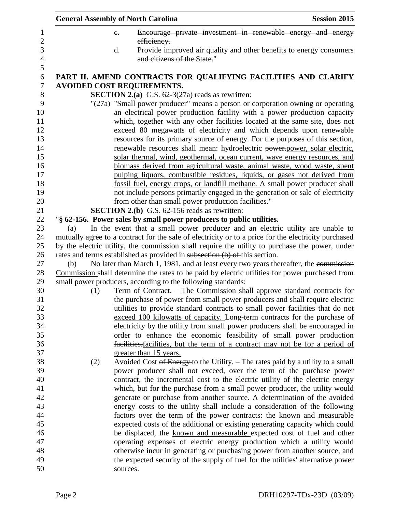|     | <b>General Assembly of North Carolina</b>                                                                                                                                                                                                                                                                                                                                                                                                                                         | <b>Session 2015</b> |
|-----|-----------------------------------------------------------------------------------------------------------------------------------------------------------------------------------------------------------------------------------------------------------------------------------------------------------------------------------------------------------------------------------------------------------------------------------------------------------------------------------|---------------------|
|     | Encourage private investment in renewable energy and energy<br>$e_{\overline{\cdot}}$<br>efficiency.                                                                                                                                                                                                                                                                                                                                                                              |                     |
|     | Provide improved air quality and other benefits to energy consumers<br>$\mathbf{d}$ .<br>and citizens of the State."                                                                                                                                                                                                                                                                                                                                                              |                     |
|     | PART II. AMEND CONTRACTS FOR QUALIFYING FACILITIES AND CLARIFY                                                                                                                                                                                                                                                                                                                                                                                                                    |                     |
|     | <b>AVOIDED COST REQUIREMENTS.</b>                                                                                                                                                                                                                                                                                                                                                                                                                                                 |                     |
|     | <b>SECTION 2.(a)</b> G.S. $62-3(27a)$ reads as rewritten:                                                                                                                                                                                                                                                                                                                                                                                                                         |                     |
|     | "(27a) "Small power producer" means a person or corporation owning or operating<br>an electrical power production facility with a power production capacity<br>which, together with any other facilities located at the same site, does not<br>exceed 80 megawatts of electricity and which depends upon renewable<br>resources for its primary source of energy. For the purposes of this section,<br>renewable resources shall mean: hydroelectric power-power, solar electric, |                     |
|     | solar thermal, wind, geothermal, ocean current, wave energy resources, and                                                                                                                                                                                                                                                                                                                                                                                                        |                     |
|     | biomass derived from agricultural waste, animal waste, wood waste, spent                                                                                                                                                                                                                                                                                                                                                                                                          |                     |
|     | pulping liquors, combustible residues, liquids, or gases not derived from                                                                                                                                                                                                                                                                                                                                                                                                         |                     |
|     | fossil fuel, energy crops, or landfill methane. A small power producer shall                                                                                                                                                                                                                                                                                                                                                                                                      |                     |
|     | not include persons primarily engaged in the generation or sale of electricity                                                                                                                                                                                                                                                                                                                                                                                                    |                     |
|     | from other than small power production facilities."                                                                                                                                                                                                                                                                                                                                                                                                                               |                     |
|     | <b>SECTION 2.(b)</b> G.S. 62-156 reads as rewritten:                                                                                                                                                                                                                                                                                                                                                                                                                              |                     |
|     | "§ 62-156. Power sales by small power producers to public utilities.                                                                                                                                                                                                                                                                                                                                                                                                              |                     |
| (a) | In the event that a small power producer and an electric utility are unable to                                                                                                                                                                                                                                                                                                                                                                                                    |                     |
|     | mutually agree to a contract for the sale of electricity or to a price for the electricity purchased                                                                                                                                                                                                                                                                                                                                                                              |                     |
|     | by the electric utility, the commission shall require the utility to purchase the power, under                                                                                                                                                                                                                                                                                                                                                                                    |                     |
|     | rates and terms established as provided in subsection (b) of this section.                                                                                                                                                                                                                                                                                                                                                                                                        |                     |
| (b) | No later than March 1, 1981, and at least every two years thereafter, the commission                                                                                                                                                                                                                                                                                                                                                                                              |                     |
|     | Commission shall determine the rates to be paid by electric utilities for power purchased from                                                                                                                                                                                                                                                                                                                                                                                    |                     |
| (1) | small power producers, according to the following standards:<br>Term of Contract. – The Commission shall approve standard contracts for                                                                                                                                                                                                                                                                                                                                           |                     |
|     | the purchase of power from small power producers and shall require electric                                                                                                                                                                                                                                                                                                                                                                                                       |                     |
|     | utilities to provide standard contracts to small power facilities that do not                                                                                                                                                                                                                                                                                                                                                                                                     |                     |
|     | exceed 100 kilowatts of capacity. Long-term contracts for the purchase of                                                                                                                                                                                                                                                                                                                                                                                                         |                     |
|     | electricity by the utility from small power producers shall be encouraged in                                                                                                                                                                                                                                                                                                                                                                                                      |                     |
|     | order to enhance the economic feasibility of small power production                                                                                                                                                                                                                                                                                                                                                                                                               |                     |
|     | facilities. facilities, but the term of a contract may not be for a period of                                                                                                                                                                                                                                                                                                                                                                                                     |                     |
|     | greater than 15 years.                                                                                                                                                                                                                                                                                                                                                                                                                                                            |                     |
| (2) | Avoided Cost of Energy to the Utility. – The rates paid by a utility to a small                                                                                                                                                                                                                                                                                                                                                                                                   |                     |
|     | power producer shall not exceed, over the term of the purchase power                                                                                                                                                                                                                                                                                                                                                                                                              |                     |
|     | contract, the incremental cost to the electric utility of the electric energy                                                                                                                                                                                                                                                                                                                                                                                                     |                     |
|     | which, but for the purchase from a small power producer, the utility would                                                                                                                                                                                                                                                                                                                                                                                                        |                     |
|     | generate or purchase from another source. A determination of the avoided                                                                                                                                                                                                                                                                                                                                                                                                          |                     |
|     | energy costs to the utility shall include a consideration of the following                                                                                                                                                                                                                                                                                                                                                                                                        |                     |
|     | factors over the term of the power contracts: the known and measurable                                                                                                                                                                                                                                                                                                                                                                                                            |                     |
|     | expected costs of the additional or existing generating capacity which could                                                                                                                                                                                                                                                                                                                                                                                                      |                     |
|     | be displaced, the known and measurable expected cost of fuel and other                                                                                                                                                                                                                                                                                                                                                                                                            |                     |
|     | operating expenses of electric energy production which a utility would                                                                                                                                                                                                                                                                                                                                                                                                            |                     |
|     | otherwise incur in generating or purchasing power from another source, and                                                                                                                                                                                                                                                                                                                                                                                                        |                     |
|     | the expected security of the supply of fuel for the utilities' alternative power<br>sources.                                                                                                                                                                                                                                                                                                                                                                                      |                     |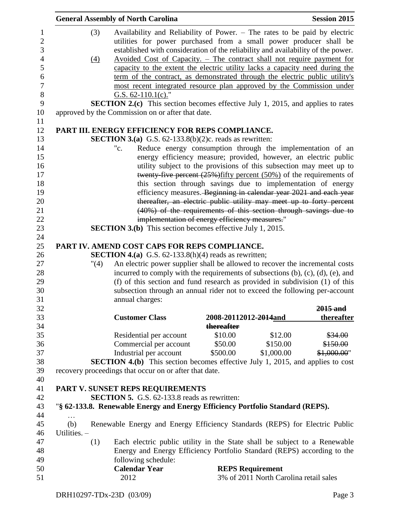|              | <b>General Assembly of North Carolina</b>                      | <b>Session 2015</b>                                                                                                                                                                                                                 |
|--------------|----------------------------------------------------------------|-------------------------------------------------------------------------------------------------------------------------------------------------------------------------------------------------------------------------------------|
|              | (3)                                                            | Availability and Reliability of Power. – The rates to be paid by electric<br>utilities for power purchased from a small power producer shall be<br>established with consideration of the reliability and availability of the power. |
|              | $\left(4\right)$                                               | Avoided Cost of Capacity. - The contract shall not require payment for<br>capacity to the extent the electric utility lacks a capacity need during the                                                                              |
|              |                                                                | term of the contract, as demonstrated through the electric public utility's<br>most recent integrated resource plan approved by the Commission under                                                                                |
|              | G.S. $62-110.1(c)$ ."                                          |                                                                                                                                                                                                                                     |
|              |                                                                | <b>SECTION 2.(c)</b> This section becomes effective July 1, 2015, and applies to rates                                                                                                                                              |
|              | approved by the Commission on or after that date.              |                                                                                                                                                                                                                                     |
|              |                                                                | PART III. ENERGY EFFICIENCY FOR REPS COMPLIANCE.                                                                                                                                                                                    |
|              |                                                                | <b>SECTION 3.(a)</b> G.S. $62-133.8(b)(2)c$ . reads as rewritten:                                                                                                                                                                   |
|              | "c.                                                            | Reduce energy consumption through the implementation of an                                                                                                                                                                          |
|              |                                                                | energy efficiency measure; provided, however, an electric public                                                                                                                                                                    |
|              |                                                                | utility subject to the provisions of this subsection may meet up to<br>twenty-five percent $(25%)$ fifty percent $(50%)$ of the requirements of                                                                                     |
|              |                                                                | this section through savings due to implementation of energy                                                                                                                                                                        |
|              |                                                                | efficiency measures. Beginning in calendar year 2021 and each year                                                                                                                                                                  |
|              |                                                                | thereafter, an electric public utility may meet up to forty percent                                                                                                                                                                 |
|              |                                                                | (40%) of the requirements of this section through savings due to                                                                                                                                                                    |
|              |                                                                | implementation of energy efficiency measures."                                                                                                                                                                                      |
|              |                                                                | <b>SECTION 3.(b)</b> This section becomes effective July 1, 2015.                                                                                                                                                                   |
|              | PART IV. AMEND COST CAPS FOR REPS COMPLIANCE.                  |                                                                                                                                                                                                                                     |
|              | <b>SECTION 4.(a)</b> G.S. $62-133.8(h)(4)$ reads as rewritten; |                                                                                                                                                                                                                                     |
|              | $^{\prime\prime}(4)$                                           | An electric power supplier shall be allowed to recover the incremental costs                                                                                                                                                        |
|              |                                                                | incurred to comply with the requirements of subsections $(b)$ , $(c)$ , $(d)$ , $(e)$ , and                                                                                                                                         |
|              |                                                                | (f) of this section and fund research as provided in subdivision (1) of this                                                                                                                                                        |
|              | annual charges:                                                | subsection through an annual rider not to exceed the following per-account                                                                                                                                                          |
|              |                                                                | $2015$ and                                                                                                                                                                                                                          |
|              | <b>Customer Class</b>                                          | thereafter<br>2008-20112012-2014and                                                                                                                                                                                                 |
|              | Residential per account                                        | thereafter<br>\$10.00<br>\$12.00<br>\$34.00                                                                                                                                                                                         |
|              | Commercial per account                                         | \$50.00<br>\$150.00<br>\$150.00                                                                                                                                                                                                     |
|              | Industrial per account                                         | \$1,000.00<br>\$500.00<br>\$1,000.00"                                                                                                                                                                                               |
|              |                                                                | <b>SECTION 4.(b)</b> This section becomes effective July 1, 2015, and applies to cost                                                                                                                                               |
|              | recovery proceedings that occur on or after that date.         |                                                                                                                                                                                                                                     |
|              | PART V. SUNSET REPS REQUIREMENTS                               |                                                                                                                                                                                                                                     |
|              | <b>SECTION 5.</b> G.S. 62-133.8 reads as rewritten:            |                                                                                                                                                                                                                                     |
|              |                                                                | "§ 62-133.8. Renewable Energy and Energy Efficiency Portfolio Standard (REPS).                                                                                                                                                      |
| (b)          |                                                                | Renewable Energy and Energy Efficiency Standards (REPS) for Electric Public                                                                                                                                                         |
| Utilities. - |                                                                |                                                                                                                                                                                                                                     |
|              | (1)                                                            | Each electric public utility in the State shall be subject to a Renewable                                                                                                                                                           |
|              |                                                                | Energy and Energy Efficiency Portfolio Standard (REPS) according to the                                                                                                                                                             |
|              | following schedule:                                            |                                                                                                                                                                                                                                     |
|              |                                                                |                                                                                                                                                                                                                                     |
|              | <b>Calendar Year</b>                                           | <b>REPS Requirement</b><br>3% of 2011 North Carolina retail sales                                                                                                                                                                   |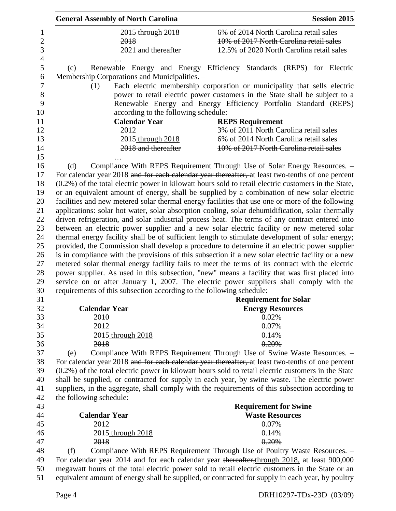| <b>General Assembly of North Carolina</b>                            | <b>Session 2015</b>                                                                                     |
|----------------------------------------------------------------------|---------------------------------------------------------------------------------------------------------|
| 2015 through 2018                                                    | 6% of 2014 North Carolina retail sales                                                                  |
| 2018                                                                 | 10% of 2017 North Carolina retail sales                                                                 |
| 2021 and thereafter                                                  | 12.5% of 2020 North Carolina retail sales                                                               |
|                                                                      |                                                                                                         |
| (c)                                                                  | Renewable Energy and Energy Efficiency Standards (REPS) for Electric                                    |
| Membership Corporations and Municipalities. -                        |                                                                                                         |
| (1)                                                                  | Each electric membership corporation or municipality that sells electric                                |
|                                                                      | power to retail electric power customers in the State shall be subject to a                             |
|                                                                      | Renewable Energy and Energy Efficiency Portfolio Standard (REPS)                                        |
| according to the following schedule:                                 |                                                                                                         |
| <b>Calendar Year</b>                                                 | <b>REPS Requirement</b>                                                                                 |
| 2012                                                                 | 3% of 2011 North Carolina retail sales                                                                  |
| 2015 through 2018                                                    | 6% of 2014 North Carolina retail sales                                                                  |
| 2018 and thereafter                                                  | 10% of 2017 North Carolina retail sales                                                                 |
|                                                                      |                                                                                                         |
| (d)                                                                  | Compliance With REPS Requirement Through Use of Solar Energy Resources. -                               |
|                                                                      | For calendar year 2018 and for each calendar year thereafter, at least two-tenths of one percent        |
|                                                                      | $(0.2\%)$ of the total electric power in kilowatt hours sold to retail electric customers in the State, |
|                                                                      | or an equivalent amount of energy, shall be supplied by a combination of new solar electric             |
|                                                                      | facilities and new metered solar thermal energy facilities that use one or more of the following        |
|                                                                      | applications: solar hot water, solar absorption cooling, solar dehumidification, solar thermally        |
|                                                                      |                                                                                                         |
|                                                                      | driven refrigeration, and solar industrial process heat. The terms of any contract entered into         |
|                                                                      | between an electric power supplier and a new solar electric facility or new metered solar               |
|                                                                      | thermal energy facility shall be of sufficient length to stimulate development of solar energy;         |
|                                                                      | provided, the Commission shall develop a procedure to determine if an electric power supplier           |
|                                                                      | is in compliance with the provisions of this subsection if a new solar electric facility or a new       |
|                                                                      | metered solar thermal energy facility fails to meet the terms of its contract with the electric         |
|                                                                      | power supplier. As used in this subsection, "new" means a facility that was first placed into           |
|                                                                      | service on or after January 1, 2007. The electric power suppliers shall comply with the                 |
| requirements of this subsection according to the following schedule: |                                                                                                         |
|                                                                      | <b>Requirement for Solar</b>                                                                            |
| <b>Calendar Year</b>                                                 | <b>Energy Resources</b>                                                                                 |
| 2010                                                                 | 0.02%                                                                                                   |
| 2012                                                                 | 0.07%                                                                                                   |
| 2015 through 2018                                                    | 0.14%                                                                                                   |
| 2018                                                                 | 0.20%                                                                                                   |
| (e)                                                                  | Compliance With REPS Requirement Through Use of Swine Waste Resources. -                                |
|                                                                      | For calendar year 2018 and for each calendar year thereafter, at least two-tenths of one percent        |
|                                                                      | $(0.2\%)$ of the total electric power in kilowatt hours sold to retail electric customers in the State  |
|                                                                      | shall be supplied, or contracted for supply in each year, by swine waste. The electric power            |
|                                                                      | suppliers, in the aggregate, shall comply with the requirements of this subsection according to         |
| the following schedule:                                              |                                                                                                         |
|                                                                      | <b>Requirement for Swine</b>                                                                            |
| <b>Calendar Year</b>                                                 | <b>Waste Resources</b>                                                                                  |
| 2012                                                                 | 0.07%                                                                                                   |
| 2015 through 2018                                                    | 0.14%                                                                                                   |
| 2018                                                                 | 0.20%                                                                                                   |
| (f)                                                                  | Compliance With REPS Requirement Through Use of Poultry Waste Resources. -                              |
|                                                                      | For calendar year 2014 and for each calendar year thereafter, through 2018, at least 900,000            |
|                                                                      | megawatt hours of the total electric power sold to retail electric customers in the State or an         |
|                                                                      | equivalent amount of energy shall be supplied, or contracted for supply in each year, by poultry        |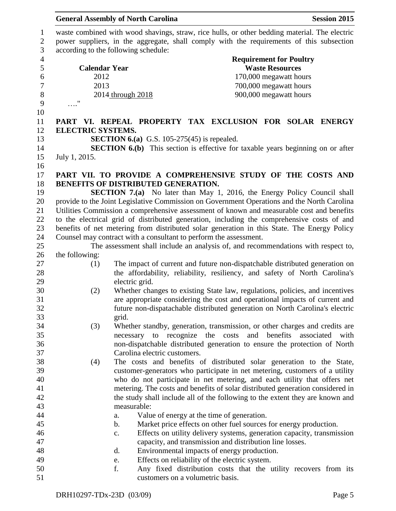|                  |                          | <b>General Assembly of North Carolina</b>                                                     |                        |                                | <b>Session 2015</b> |
|------------------|--------------------------|-----------------------------------------------------------------------------------------------|------------------------|--------------------------------|---------------------|
| $\mathbf{1}$     |                          | waste combined with wood shavings, straw, rice hulls, or other bedding material. The electric |                        |                                |                     |
| $\sqrt{2}$       |                          | power suppliers, in the aggregate, shall comply with the requirements of this subsection      |                        |                                |                     |
| 3                |                          | according to the following schedule:                                                          |                        |                                |                     |
| $\overline{4}$   |                          |                                                                                               |                        | <b>Requirement for Poultry</b> |                     |
| 5                | <b>Calendar Year</b>     |                                                                                               | <b>Waste Resources</b> |                                |                     |
| $\boldsymbol{6}$ | 2012                     |                                                                                               |                        | 170,000 megawatt hours         |                     |
| $\overline{7}$   | 2013                     |                                                                                               |                        | 700,000 megawatt hours         |                     |
| $\,8\,$          |                          | 2014 through 2018                                                                             |                        | 900,000 megawatt hours         |                     |
| 9                | $\mathbf{H}$             |                                                                                               |                        |                                |                     |
| 10               |                          |                                                                                               |                        |                                |                     |
| 11               |                          | PART VI. REPEAL PROPERTY TAX EXCLUSION FOR SOLAR ENERGY                                       |                        |                                |                     |
| 12               | <b>ELECTRIC SYSTEMS.</b> |                                                                                               |                        |                                |                     |
| 13               |                          | <b>SECTION 6.(a)</b> G.S. 105-275(45) is repealed.                                            |                        |                                |                     |
| 14               |                          | <b>SECTION 6.(b)</b> This section is effective for taxable years beginning on or after        |                        |                                |                     |
| 15               | July 1, 2015.            |                                                                                               |                        |                                |                     |
| 16               |                          |                                                                                               |                        |                                |                     |
| 17               |                          | PART VII. TO PROVIDE A COMPREHENSIVE STUDY OF THE COSTS AND                                   |                        |                                |                     |
| 18               |                          | BENEFITS OF DISTRIBUTED GENERATION.                                                           |                        |                                |                     |
| 19               |                          | <b>SECTION 7.(a)</b> No later than May 1, 2016, the Energy Policy Council shall               |                        |                                |                     |
| 20               |                          | provide to the Joint Legislative Commission on Government Operations and the North Carolina   |                        |                                |                     |
| 21               |                          | Utilities Commission a comprehensive assessment of known and measurable cost and benefits     |                        |                                |                     |
| 22               |                          | to the electrical grid of distributed generation, including the comprehensive costs of and    |                        |                                |                     |
| 23               |                          | benefits of net metering from distributed solar generation in this State. The Energy Policy   |                        |                                |                     |
| 24               |                          | Counsel may contract with a consultant to perform the assessment.                             |                        |                                |                     |
| 25               |                          | The assessment shall include an analysis of, and recommendations with respect to,             |                        |                                |                     |
| 26               | the following:           |                                                                                               |                        |                                |                     |
| 27               | (1)                      | The impact of current and future non-dispatchable distributed generation on                   |                        |                                |                     |
| 28               |                          | the affordability, reliability, resiliency, and safety of North Carolina's                    |                        |                                |                     |
| 29               |                          | electric grid.                                                                                |                        |                                |                     |
| 30               | (2)                      | Whether changes to existing State law, regulations, policies, and incentives                  |                        |                                |                     |
| 31               |                          | are appropriate considering the cost and operational impacts of current and                   |                        |                                |                     |
| 32               |                          | future non-dispatachable distributed generation on North Carolina's electric                  |                        |                                |                     |
| 33               |                          | grid.                                                                                         |                        |                                |                     |
| 34               | (3)                      | Whether standby, generation, transmission, or other charges and credits are                   |                        |                                |                     |
| 35               |                          | necessary to recognize the costs and                                                          | benefits               | associated                     | with                |
| 36               |                          | non-dispatchable distributed generation to ensure the protection of North                     |                        |                                |                     |
| 37               |                          | Carolina electric customers.                                                                  |                        |                                |                     |
| 38               | (4)                      | The costs and benefits of distributed solar generation to the State,                          |                        |                                |                     |
| 39               |                          | customer-generators who participate in net metering, customers of a utility                   |                        |                                |                     |
| 40               |                          | who do not participate in net metering, and each utility that offers net                      |                        |                                |                     |
| 41               |                          | metering. The costs and benefits of solar distributed generation considered in                |                        |                                |                     |
| 42               |                          | the study shall include all of the following to the extent they are known and                 |                        |                                |                     |
| 43               |                          | measurable:                                                                                   |                        |                                |                     |
| 44               |                          | Value of energy at the time of generation.<br>a.                                              |                        |                                |                     |
| 45               |                          | Market price effects on other fuel sources for energy production.<br>b.                       |                        |                                |                     |
| 46               |                          | Effects on utility delivery systems, generation capacity, transmission<br>c.                  |                        |                                |                     |
| 47               |                          | capacity, and transmission and distribution line losses.                                      |                        |                                |                     |
| 48               |                          | Environmental impacts of energy production.<br>d.                                             |                        |                                |                     |
| 49               |                          | Effects on reliability of the electric system.<br>e.                                          |                        |                                |                     |
| 50               |                          | f.<br>Any fixed distribution costs that the utility recovers from its                         |                        |                                |                     |
| 51               |                          | customers on a volumetric basis.                                                              |                        |                                |                     |